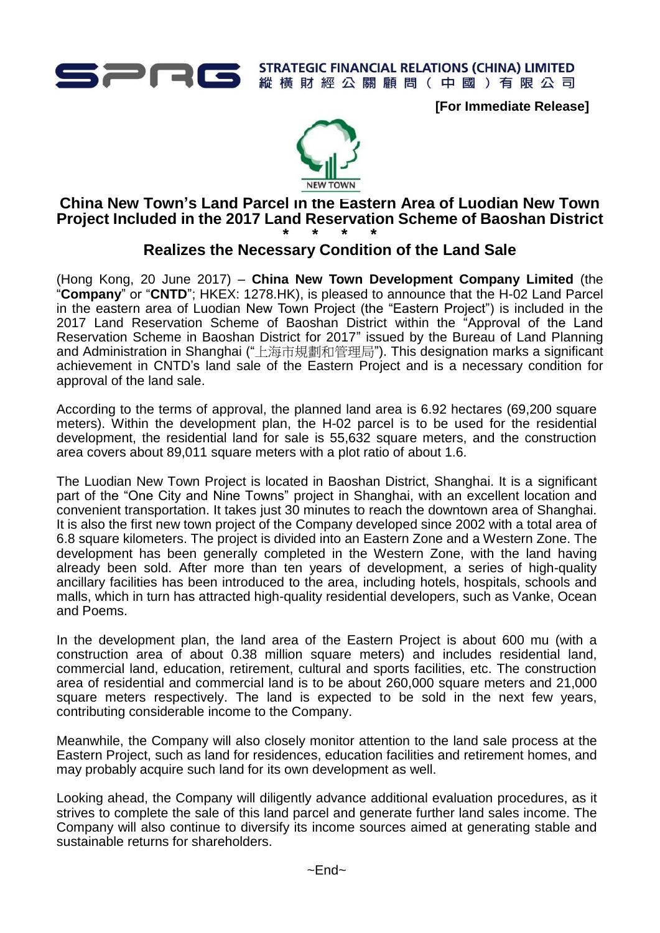

**STRATEGIC FINANCIAL RELATIONS (CHINA) LIMITED** 縱橫財經公關顧問(中國)有限公司

**[For Immediate Release]**



## **China New Town's Land Parcel in the Eastern Area of Luodian New Town Project Included in the 2017 Land Reservation Scheme of Baoshan District \* \* \* \***

## **Realizes the Necessary Condition of the Land Sale**

(Hong Kong, 20 June 2017) – **China New Town Development Company Limited** (the "**Company**" or "**CNTD**"; HKEX: 1278.HK), is pleased to announce that the H-02 Land Parcel in the eastern area of Luodian New Town Project (the "Eastern Project") is included in the 2017 Land Reservation Scheme of Baoshan District within the "Approval of the Land Reservation Scheme in Baoshan District for 2017" issued by the Bureau of Land Planning and Administration in Shanghai ("上海市規劃和管理局"). This designation marks a significant achievement in CNTD's land sale of the Eastern Project and is a necessary condition for approval of the land sale.

According to the terms of approval, the planned land area is 6.92 hectares (69,200 square meters). Within the development plan, the H-02 parcel is to be used for the residential development, the residential land for sale is 55,632 square meters, and the construction area covers about 89,011 square meters with a plot ratio of about 1.6.

The Luodian New Town Project is located in Baoshan District, Shanghai. It is a significant part of the "One City and Nine Towns" project in Shanghai, with an excellent location and convenient transportation. It takes just 30 minutes to reach the downtown area of Shanghai. It is also the first new town project of the Company developed since 2002 with a total area of 6.8 square kilometers. The project is divided into an Eastern Zone and a Western Zone. The development has been generally completed in the Western Zone, with the land having already been sold. After more than ten years of development, a series of high-quality ancillary facilities has been introduced to the area, including hotels, hospitals, schools and malls, which in turn has attracted high-quality residential developers, such as Vanke, Ocean and Poems.

In the development plan, the land area of the Eastern Project is about 600 mu (with a construction area of about 0.38 million square meters) and includes residential land, commercial land, education, retirement, cultural and sports facilities, etc. The construction area of residential and commercial land is to be about 260,000 square meters and 21,000 square meters respectively. The land is expected to be sold in the next few years, contributing considerable income to the Company.

Meanwhile, the Company will also closely monitor attention to the land sale process at the Eastern Project, such as land for residences, education facilities and retirement homes, and may probably acquire such land for its own development as well.

Looking ahead, the Company will diligently advance additional evaluation procedures, as it strives to complete the sale of this land parcel and generate further land sales income. The Company will also continue to diversify its income sources aimed at generating stable and sustainable returns for shareholders.